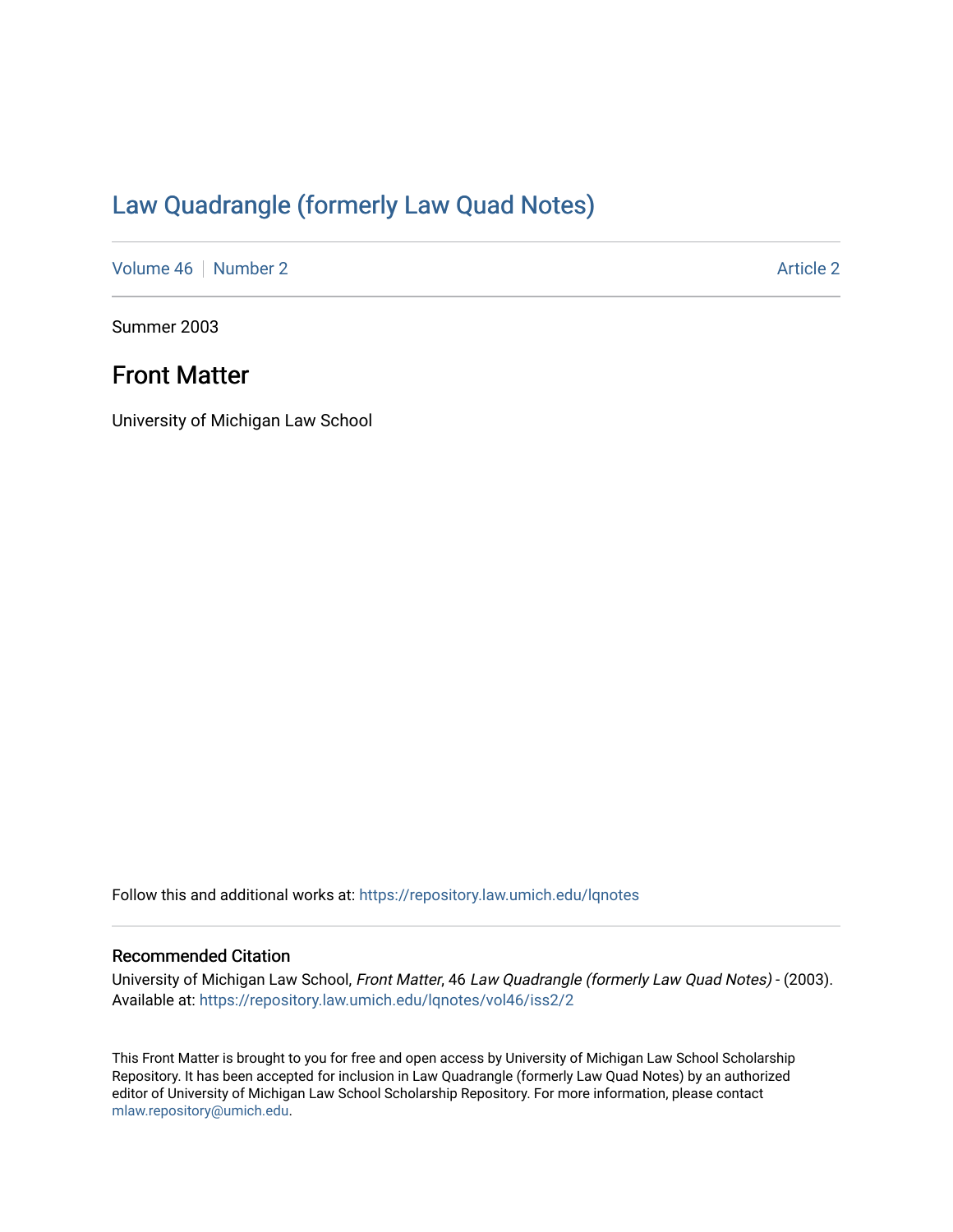# [Law Quadrangle \(formerly Law Quad Notes\)](https://repository.law.umich.edu/lqnotes)

[Volume 46](https://repository.law.umich.edu/lqnotes/vol46) [Number 2](https://repository.law.umich.edu/lqnotes/vol46/iss2) Article 2

Summer 2003

# Front Matter

University of Michigan Law School

Follow this and additional works at: [https://repository.law.umich.edu/lqnotes](https://repository.law.umich.edu/lqnotes?utm_source=repository.law.umich.edu%2Flqnotes%2Fvol46%2Fiss2%2F2&utm_medium=PDF&utm_campaign=PDFCoverPages) 

### Recommended Citation

University of Michigan Law School, Front Matter, 46 Law Quadrangle (formerly Law Quad Notes) - (2003). Available at: [https://repository.law.umich.edu/lqnotes/vol46/iss2/2](https://repository.law.umich.edu/lqnotes/vol46/iss2/2?utm_source=repository.law.umich.edu%2Flqnotes%2Fvol46%2Fiss2%2F2&utm_medium=PDF&utm_campaign=PDFCoverPages) 

This Front Matter is brought to you for free and open access by University of Michigan Law School Scholarship Repository. It has been accepted for inclusion in Law Quadrangle (formerly Law Quad Notes) by an authorized editor of University of Michigan Law School Scholarship Repository. For more information, please contact [mlaw.repository@umich.edu.](mailto:mlaw.repository@umich.edu)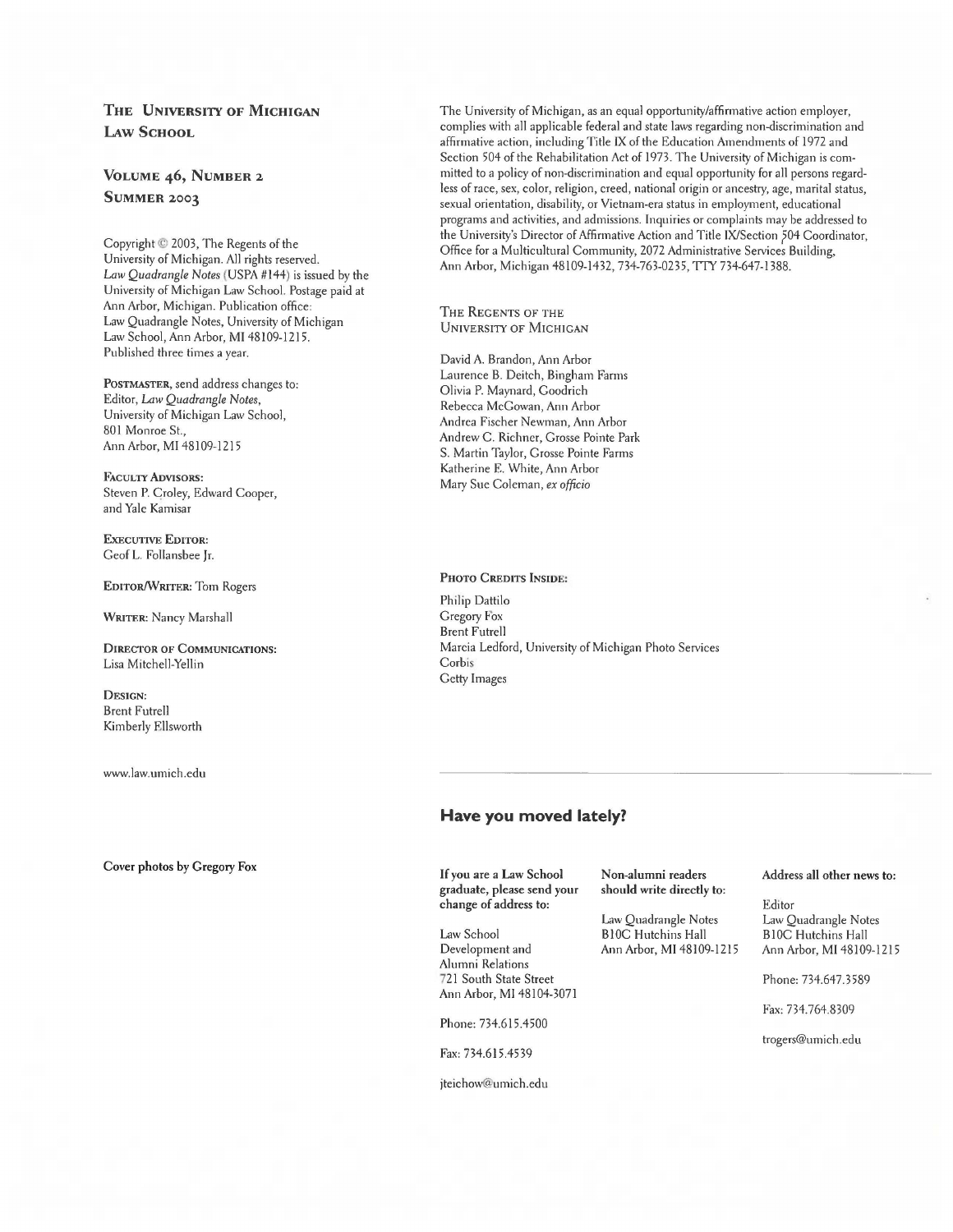### **THE UNIVERSI'IY OF MICHIGAN LAw SCHOOL**

### **VOLUME 46, NUMBER 2 SUMMER 2003**

Copyright © 2003, The Regents of the University of Michigan. All rights reserved. *Law Quadrangle Notes* (USPA #144) is issued by the University of Michigan Law School. Postage paid at Ann Arbor, Michigan. Publication office: Law Quadrangle Notes, University of Michigan Law School, Ann Arbor, **MI** 48109-1215. Published three times a year.

**POSTMASTER,** send address changes to: Editor, *Law Quadrangle Notes,*  University of Michigan Law School, 801 Monroe St., Ann Arbor, MI 48109-1215

FACULTY ADVISORS: Steven P. Croley, Edward Cooper, and Yale Kamisar

**ExECUTIVE EDITOR:**  Geof L. Follansbee Jr.

**EDITOR/WRITER:** Tom Rogers

**WRITER:** Nancy Marshall

**DIRECTOR OF COMMUNICATIONS:**  Lisa Mitchell-Yellin

**DESIGN:**  Brent Futrell Kimberly Ellsworth

www.law.umich.edu

#### **Cover photos by Gregory Fox**

The University of Michigan, as an equal opportunity/affirmative action employer, complies with all applicable federal and state laws regarding non-discrimination and affirmative action, including Title IX of the Education Amendments of 1972 and Section 504 of the Rehabilitation Act of 1973. The University of Michigan is committed to a policy of non-discrimination and equal opportunity for all persons regardless of race, sex, color, religion, creed, national origin or ancestry, age, marital status, sexual orientation, disability, or Vietnam-era status in employment, educational programs and activities, and admissions. Inquiries or complaints may be addressed to the University's Director of Affirmative Action and Title IX/Section ?04 Coordinator, Office for a Multicultural Community, 2072 Administrative Services Building, Ann Arbor, Michigan 48109-1432, 734-763-0235, TTY 734-647-1388.

THE REGENTS OF THE UNIVERSITY OF MICHIGAN

David A. Brandon, Ann Arbor Laurence B. Deitch, Bingham Farms Olivia P. Maynard, Goodrich Rebecca McGowan, Ann Arbor Andrea Fischer Newman, Ann Arbor Andrew C. Richner, Grosse Pointe Park S. Martin Taylor, Grosse Pointe Farms Katherine E. White, Ann Arbor Mary Sue Coleman, *ex officio* 

#### **PHOTO CREDITS INSIDE:**

Philip Dattilo Gregory Fox Brent Futrell Marcia Ledford, University of Michigan Photo Services Corbis Getty Images

### **Have you moved lately?**

If **you are a Law School graduate, please send your change of address to:** 

Law School Development and Alumni Relations 721 South State Street Ann Arbor, MI 48104-3071

Phone: 734.615.4500

Fax: 734.615.4539

jteichow@umich.edu

**Non-alumni readers should write directly to:** 

Law Quadrangle Notes BI0C Hutchins Hall Ann Arbor, MI 48109-1215

#### **Address all other news to:**

Editor Law Quadrangle Notes BIOC Hutchins Hall Ann Arbor, MI 48109-1215

Phone: 734.647.3589

Fax: 734.764.8309

trogers@umich.edu